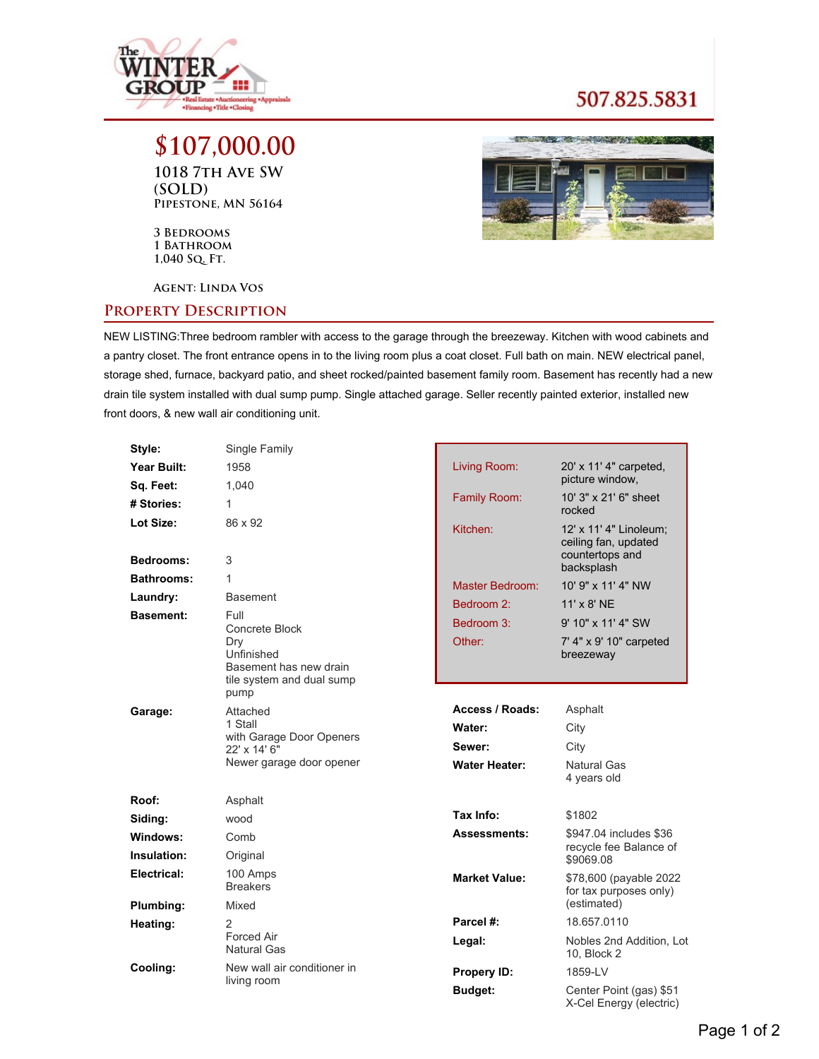

## 507.825.5831

**\$107,000.00 1018 7th Ave SW (SOLD) Pipestone, MN 56164**

**3 Bedrooms 1 Bathroom 1,040 Sq. Ft.**

**Agent: Linda Vos**

## **Property Description**



NEW LISTING:Three bedroom rambler with access to the garage through the breezeway. Kitchen with wood cabinets and a pantry closet. The front entrance opens in to the living room plus a coat closet. Full bath on main. NEW electrical panel, storage shed, furnace, backyard patio, and sheet rocked/painted basement family room. Basement has recently had a new drain tile system installed with dual sump pump. Single attached garage. Seller recently painted exterior, installed new front doors, & new wall air conditioning unit.

| Style:                 | Single Family               |                      |                                                                                 |
|------------------------|-----------------------------|----------------------|---------------------------------------------------------------------------------|
| Year Built:            | 1958                        | Living Room:         | 20' x 11' 4" carpeted,<br>picture window,                                       |
| Sq. Feet:              | 1,040                       |                      |                                                                                 |
| # Stories:             | $\mathbf{1}$                | Family Room:         | 10' 3" x 21' 6" sheet<br>rocked                                                 |
| Lot Size:<br>Bedrooms: | 86 x 92<br>3                | Kitchen:             | 12' x 11' 4" Linoleum;<br>ceiling fan, updated<br>countertops and<br>backsplash |
| <b>Bathrooms:</b>      | 1                           | Master Bedroom:      | 10' 9" x 11' 4" NW                                                              |
| Laundry:               | <b>Basement</b>             | Bedroom 2:           | $11' \times 8'$ NE                                                              |
| <b>Basement:</b>       | <b>Full</b>                 |                      |                                                                                 |
|                        | Concrete Block              | Bedroom 3:           | 9' 10" x 11' 4" SW                                                              |
|                        | Dry<br>Unfinished           | Other:               | 7' 4" x 9' 10" carpeted<br>breezeway                                            |
|                        | Basement has new drain      |                      |                                                                                 |
|                        | tile system and dual sump   |                      |                                                                                 |
|                        | pump                        |                      |                                                                                 |
| Garage:                | Attached<br>1 Stall         | Access / Roads:      | Asphalt                                                                         |
|                        | with Garage Door Openers    | Water:               | City                                                                            |
|                        | 22' x 14' 6"                | Sewer:               | City                                                                            |
|                        | Newer garage door opener    | <b>Water Heater:</b> | Natural Gas<br>4 years old                                                      |
| Roof:                  | Asphalt                     |                      |                                                                                 |
| Siding:                | wood                        | Tax Info:            | \$1802                                                                          |
| Windows:               | Comb                        | <b>Assessments:</b>  | \$947.04 includes \$36                                                          |
| Insulation:            | Original                    |                      | recycle fee Balance of<br>\$9069.08                                             |
| Electrical:            | 100 Amps<br><b>Breakers</b> | <b>Market Value:</b> | \$78,600 (payable 2022<br>for tax purposes only)                                |
| Plumbing:              | Mixed                       |                      | (estimated)                                                                     |
| Heating:               | 2                           | Parcel #:            | 18.657.0110                                                                     |
|                        | Forced Air<br>Natural Gas   | Legal:               | Nobles 2nd Addition, Lot<br>10, Block 2                                         |
| Cooling:               | New wall air conditioner in | Propery ID:          | 1859-LV                                                                         |
|                        | living room                 | <b>Budget:</b>       | Center Point (gas) \$51<br>X-Cel Energy (electric)                              |